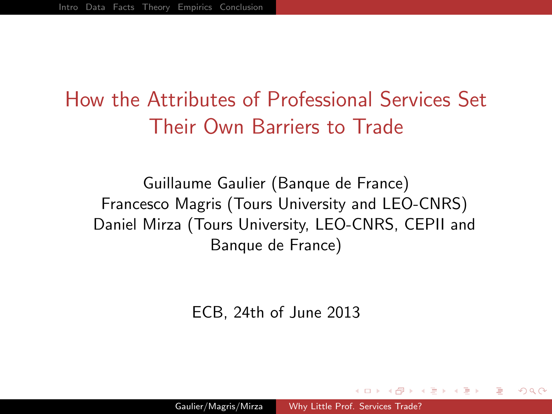# How the Attributes of Professional Services Set Their Own Barriers to Trade

Guillaume Gaulier (Banque de France) Francesco Magris (Tours University and LEO-CNRS) Daniel Mirza (Tours University, LEO-CNRS, CEPII and Banque de France)

<span id="page-0-0"></span>ECB, 24th of June 2013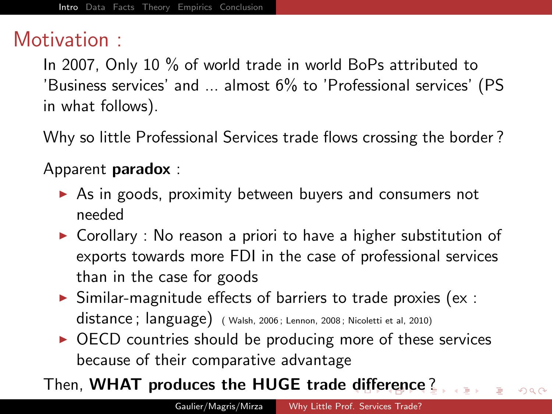## Motivation :

In 2007, Only 10 % of world trade in world BoPs attributed to 'Business services' and ... almost 6% to 'Professional services' (PS in what follows).

Why so little Professional Services trade flows crossing the border ?

#### Apparent paradox :

- $\triangleright$  As in goods, proximity between buyers and consumers not needed
- $\triangleright$  Corollary : No reason a priori to have a higher substitution of exports towards more FDI in the case of professional services than in the case for goods
- $\triangleright$  Similar-magnitude effects of barriers to trade proxies (ex : distance ; language) ( Walsh, 2006 ; Lennon, 2008 ; Nicoletti et al, 2010)
- $\triangleright$  OECD countries should be producing more of these services because of their comparative advantage

#### Then, WHAT produces the HUGE trade [diffe](#page--1-0)[r](#page-0-0)[e](#page--1-0)[n](#page-1-0)[c](#page--1-0)[e](#page-0-0) [?](#page--1-0)

<span id="page-1-0"></span> $QQ$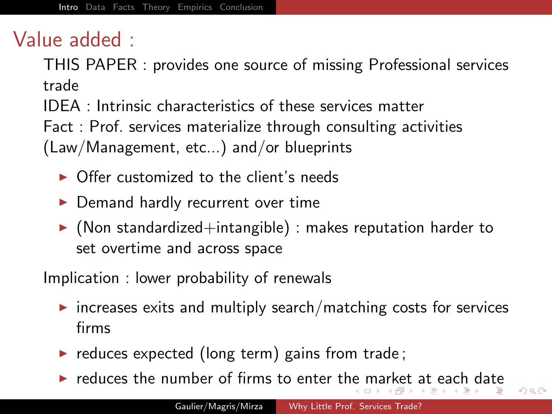## Value added :

THIS PAPER : provides one source of missing Professional services trade

IDEA : Intrinsic characteristics of these services matter

Fact : Prof. services materialize through consulting activities (Law/Management, etc...) and/or blueprints

- $\triangleright$  Offer customized to the client's needs
- $\blacktriangleright$  Demand hardly recurrent over time
- $\triangleright$  (Non standardized+intangible) : makes reputation harder to set overtime and across space

Implication : lower probability of renewals

- $\triangleright$  increases exits and multiply search/matching costs for services firms
- $\triangleright$  reduces expected (long term) gains from trade;
- $\blacktriangleright$  $\blacktriangleright$  $\blacktriangleright$  $\blacktriangleright$  $\blacktriangleright$  $\blacktriangleright$  reduces t[he](#page--1-0) number of firms to enter the [ma](#page--1-0)r[k](#page--1-0)et [a](#page-0-0)t [e](#page-4-0)[a](#page--1-0)[c](#page-0-0)[h](#page--1-0)[d](#page--1-0)[at](#page-0-0)e

<span id="page-2-0"></span> $299$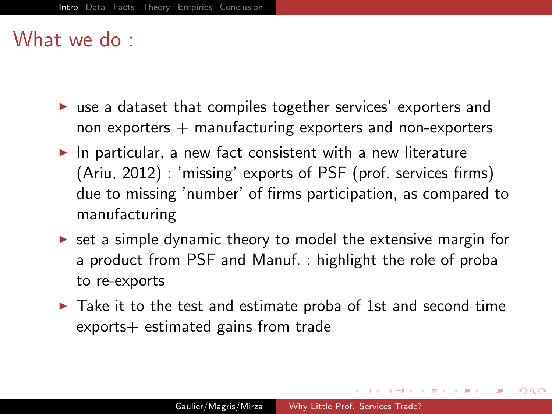#### What we do :

- $\triangleright$  use a dataset that compiles together services' exporters and non exporters  $+$  manufacturing exporters and non-exporters
- $\blacktriangleright$  In particular, a new fact consistent with a new literature (Ariu, 2012) : 'missing' exports of PSF (prof. services firms) due to missing 'number' of firms participation, as compared to manufacturing
- $\triangleright$  set a simple dynamic theory to model the extensive margin for a product from PSF and Manuf. : highlight the role of proba to re-exports
- $\triangleright$  Take it to the test and estimate proba of 1st and second time exports+ estimated gains from trade

母 ト イヨ ト イヨ ト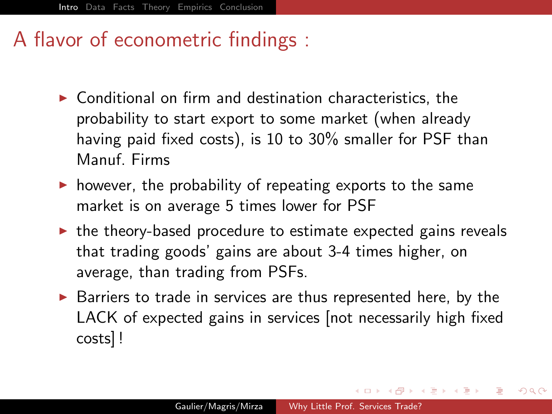## A flavor of econometric findings :

- $\triangleright$  Conditional on firm and destination characteristics, the probability to start export to some market (when already having paid fixed costs), is 10 to 30% smaller for PSF than Manuf. Firms
- $\triangleright$  however, the probability of repeating exports to the same market is on average 5 times lower for PSF
- $\triangleright$  the theory-based procedure to estimate expected gains reveals that trading goods' gains are about 3-4 times higher, on average, than trading from PSFs.
- $\triangleright$  Barriers to trade in services are thus represented here, by the LACK of expected gains in services [not necessarily high fixed costs] !

<span id="page-4-0"></span>伊 ▶ イヨ ▶ イヨ ▶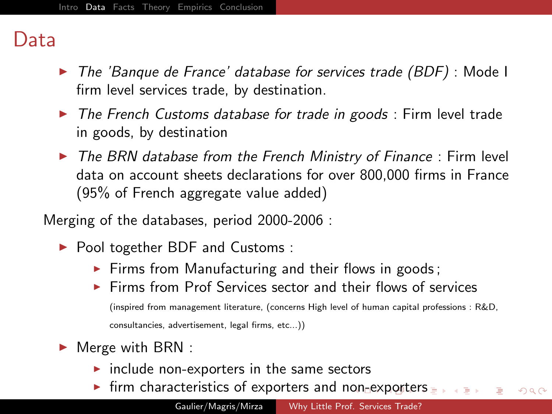### Data

- $\triangleright$  The 'Banque de France' database for services trade (BDF) : Mode I firm level services trade, by destination.
- $\triangleright$  The French Customs database for trade in goods : Firm level trade in goods, by destination
- $\triangleright$  The BRN database from the French Ministry of Finance : Firm level data on account sheets declarations for over 800,000 firms in France (95% of French aggregate value added)

Merging of the databases, period 2000-2006 :

- ▶ Pool together BDF and Customs :
	- $\triangleright$  Firms from Manufacturing and their flows in goods;
	- $\triangleright$  Firms from Prof Services sector and their flows of services (inspired from management literature, (concerns High level of human capital professions : R&D, consultancies, advertisement, legal firms, etc...))
- <span id="page-5-0"></span> $\blacktriangleright$  Merge with BRN :
	- $\triangleright$  include non-exporters in the same sectors
	- In firm characteristics of exporters and n[on](#page--1-0)-[ex](#page-6-0)[p](#page-4-0)[o](#page--1-0)[rt](#page-5-0)[e](#page-6-0)[rs](#page-4-0)  $QQ$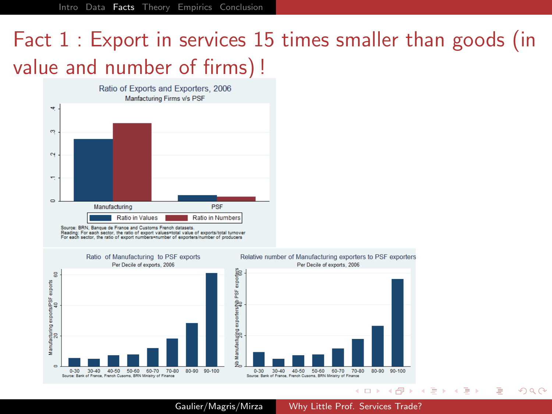[Intro](#page--1-0) [Data](#page--1-0) [Facts](#page-6-0) [Theory](#page--1-0) [Empirics](#page-11-0) [Conclusion](#page--1-0)

# Fact 1 : Export in services 15 times smaller than goods (in value and number of firms) !



Source: BRN, Banque de France and Customs French datasets.<br>Reading: For each sector, the ratio of export values=total value of exports/total turnover

For each sector, the ratio of export numbers=number of exporters/number of producers





Gaulier/Magris/Mirza [Why Little Prof. Services Trade?](#page-0-0)

<span id="page-6-0"></span>イロン イ何ン イヨン イヨン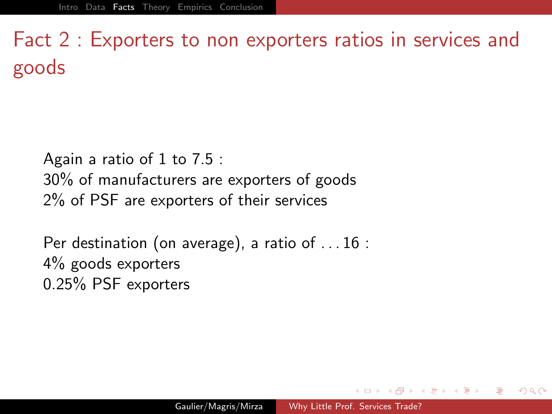Fact 2 : Exporters to non exporters ratios in services and goods

Again a ratio of 1 to 7.5 : 30% of manufacturers are exporters of goods 2% of PSF are exporters of their services

Per destination (on average), a ratio of . . . 16 : 4% goods exporters 0.25% PSF exporters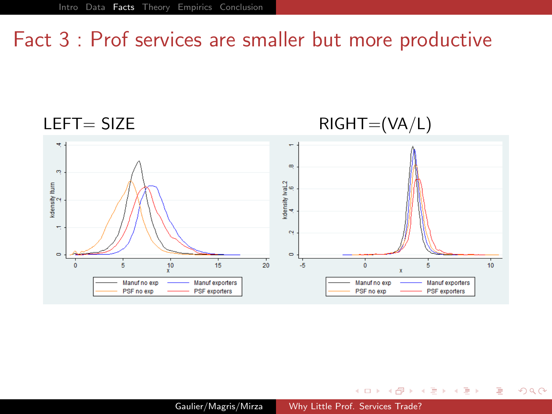## Fact 3 : Prof services are smaller but more productive



イロメ イ押メ イヨメ イヨメー

B

<span id="page-8-0"></span>つくへ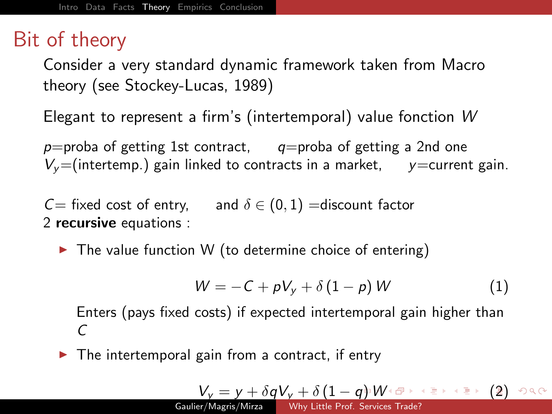## Bit of theory

Consider a very standard dynamic framework taken from Macro theory (see Stockey-Lucas, 1989)

Elegant to represent a firm's (intertemporal) value fonction W

 $p=$ proba of getting 1st contract, q=proba of getting a 2nd one  $V_v$ =(intertemp.) gain linked to contracts in a market, y=current gain.

 $C=$  fixed cost of entry, and  $\delta \in (0,1)$  =discount factor 2 recursive equations :

 $\triangleright$  The value function W (to determine choice of entering)

$$
W = -C + pV_y + \delta(1-p)W \qquad (1)
$$

Enters (pays fixed costs) if expected intertemporal gain higher than  $\mathcal{C}$ 

 $\triangleright$  The intertemporal gain from a contract, if entry

$$
V_{\text{y}} = y + \delta q V_{\text{y}} + \delta \left(1 - q\right) W^{\frac{1}{2}} W^{\frac{1}{2}} + \frac{1}{2} \left(1 - q\right) V^{\frac{1}{2}} + \frac{1}{2} \left(1 - q\right) V^{\frac{1}{2}} + \frac{1}{2} \left(1 - q\right) V^{\frac{1}{2}} + \frac{1}{2} \left(1 - q\right) V^{\frac{1}{2}} + \frac{1}{2} \left(1 - q\right) V^{\frac{1}{2}} + \frac{1}{2} \left(1 - q\right) V^{\frac{1}{2}} + \frac{1}{2} \left(1 - q\right) V^{\frac{1}{2}} + \frac{1}{2} \left(1 - q\right) V^{\frac{1}{2}} + \frac{1}{2} \left(1 - q\right) V^{\frac{1}{2}} + \frac{1}{2} \left(1 - q\right) V^{\frac{1}{2}} + \frac{1}{2} \left(1 - q\right) V^{\frac{1}{2}} + \frac{1}{2} \left(1 - q\right) V^{\frac{1}{2}} + \frac{1}{2} \left(1 - q\right) V^{\frac{1}{2}} + \frac{1}{2} \left(1 - q\right) V^{\frac{1}{2}} + \frac{1}{2} \left(1 - q\right) V^{\frac{1}{2}} + \frac{1}{2} \left(1 - q\right) V^{\frac{1}{2}} + \frac{1}{2} \left(1 - q\right) V^{\frac{1}{2}} + \frac{1}{2} \left(1 - q\right) V^{\frac{1}{2}} + \frac{1}{2} \left(1 - q\right) V^{\frac{1}{2}} + \frac{1}{2} \left(1 - q\right) V^{\frac{1}{2}} + \frac{1}{2} \left(1 - q\right) V^{\frac{1}{2}} + \frac{1}{2} \left(1 - q\right) V^{\frac{1}{2}} + \frac{1}{2} \left(1 - q\right) V^{\frac{1}{2}} + \frac{1}{2} \left(1 - q\right) V^{\frac{1}{2}} + \frac{1}{2} \left(1 - q\right) V^{\frac{1}{2}} + \frac{1}{2} \left(1 - q\right) V^{\frac{1}{2}} + \frac{1}{2} \left(1 - q\right) V^{\frac{1}{2}} + \frac{1}{2
$$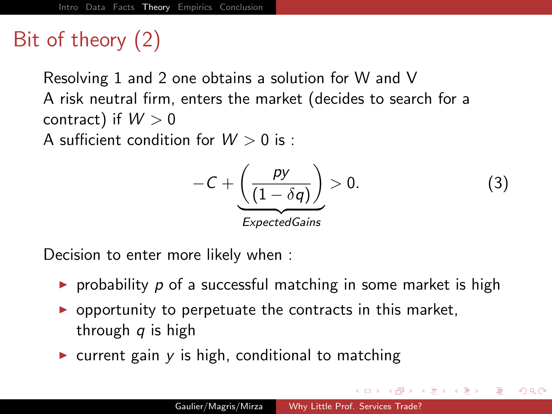## Bit of theory (2)

Resolving [1](#page--1-1) and [2](#page--1-2) one obtains a solution for W and V A risk neutral firm, enters the market (decides to search for a contract) if  $W > 0$ 

A sufficient condition for  $W > 0$  is:

$$
-C + \underbrace{\left(\frac{py}{(1-\delta q)}\right)}_{ExpectedGains} > 0.
$$
 (3)

医单位 医单位

<span id="page-10-0"></span> $\Omega$ 

Decision to enter more likely when :

- riangleright probability p of a successful matching in some market is high
- $\triangleright$  opportunity to perpetuate the contracts in this market, through  $q$  is high
- $\triangleright$  current gain y is high, conditional to matching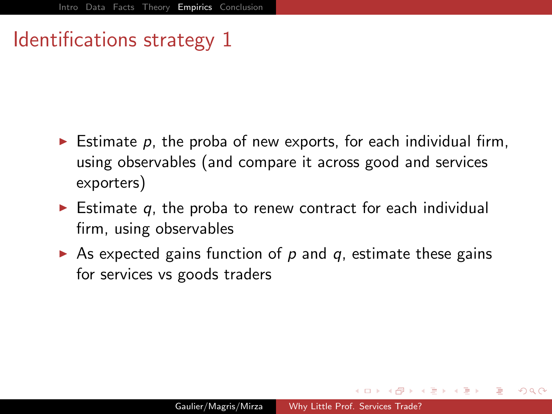## Identifications strategy 1

- Estimate  $p$ , the proba of new exports, for each individual firm, using observables (and compare it across good and services exporters)
- Estimate  $q$ , the proba to renew contract for each individual firm, using observables
- <span id="page-11-0"></span>As expected gains function of  $p$  and  $q$ , estimate these gains for services vs goods traders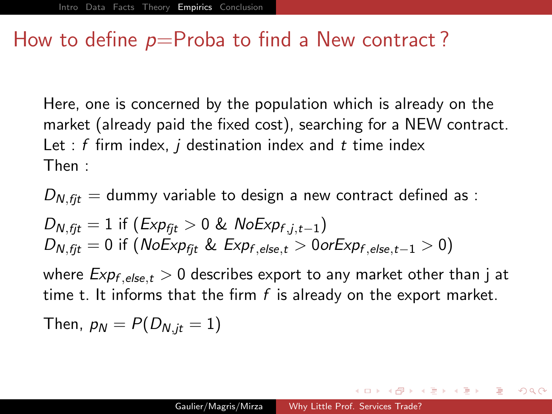### How to define  $p=$ Proba to find a New contract?

Here, one is concerned by the population which is already on the market (already paid the fixed cost), searching for a NEW contract. Let :  $f$  firm index,  $i$  destination index and  $t$  time index Then :

 $D_{N,fit}$  = dummy variable to design a new contract defined as :

$$
D_{N,fit} = 1 \text{ if } (Exp_{fit} > 0 \& NoExp_{f,j,t-1})
$$
  

$$
D_{N,fit} = 0 \text{ if } (NoExp_{fft} \& Exp_{f,else,t} > 0 \text{ or } Exp_{f,else,t-1} > 0)
$$

where  $Exp_{f,else,t} > 0$  describes export to any market other than j at time t. It informs that the firm  $f$  is already on the export market.

Then, 
$$
p_N = P(D_{N,jt} = 1)
$$

 $\mathbf{A} = \mathbf{A} \oplus \mathbf{A} \oplus \mathbf{A} \oplus \mathbf{A}$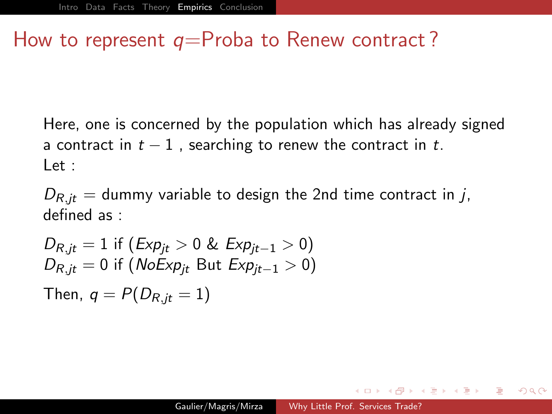### How to represent  $q=$ Proba to Renew contract?

Here, one is concerned by the population which has already signed a contract in  $t - 1$ , searching to renew the contract in t.  $let$ 

 $D_{R,i}$  = dummy variable to design the 2nd time contract in j, defined as :

$$
D_{R,jt} = 1 \text{ if } (Exp_{jt} > 0 \& Exp_{jt-1} > 0)
$$
  

$$
D_{R,jt} = 0 \text{ if } (NoExp_{jt} \text{ But } Exp_{jt-1} > 0)
$$
  
Then,  $q = P(D_{R,jt} = 1)$ 

<span id="page-13-0"></span>医毛囊 医毛囊 医心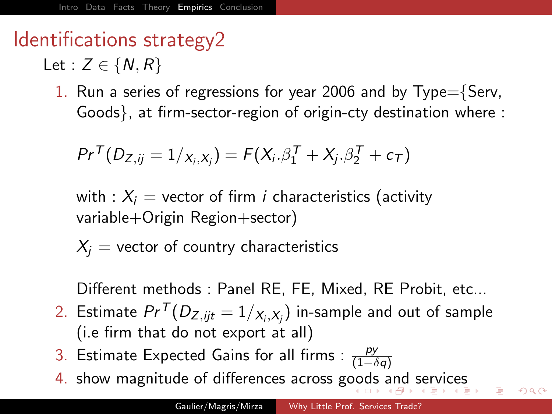## Identifications strategy2

Let :  $Z \in \{N, R\}$ 

1. Run a series of regressions for year 2006 and by  $Type=\{Serv,$ Goods}, at firm-sector-region of origin-cty destination where :

$$
Pr^{T}(D_{Z,ij}=1/x_{i},x_{j})=F(X_{i}.\beta_{1}^{T}+X_{j}.\beta_{2}^{T}+c_{T})
$$

with :  $X_i$  = vector of firm i characteristics (activity variable+Origin Region+sector)

 $X_i$  = vector of country characteristics

Different methods : Panel RE, FE, Mixed, RE Probit, etc...

- $2.$  Estimate  $Pr^\mathcal{T}(D_{Z,jjt}=1/\chi_{_{i},X_{j}})$  in-sample and out of sample (i.e firm that do not export at all)
- 3. Estimate Expected Gains for all firms :  $\frac{py}{(1-\delta q)}$
- 4. show magnitude of differences across g[oo](#page--1-0)d[s](#page-15-0) [a](#page-13-0)[n](#page--1-0)[d](#page-14-0)[se](#page-10-0)[r](#page-11-0)[v](#page-20-0)[ic](#page--1-0)[e](#page-10-0)[s](#page-11-0)

<span id="page-14-0"></span>つくい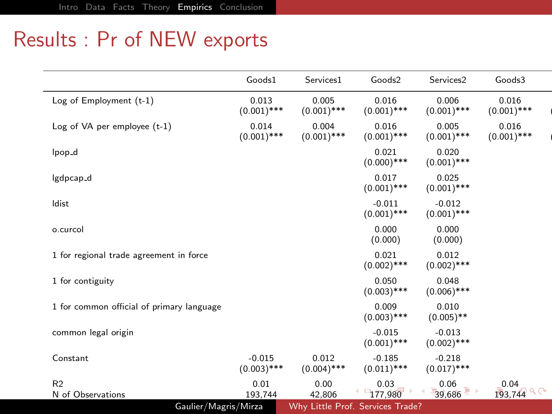## Results : Pr of NEW exports

|                                           | Goods1                    | Services1              | Goods2                    | Services2                 | Goods3                 |
|-------------------------------------------|---------------------------|------------------------|---------------------------|---------------------------|------------------------|
| Log of Employment (t-1)                   | 0.013<br>$(0.001)$ ***    | 0.005<br>$(0.001)$ *** | 0.016<br>$(0.001)$ ***    | 0.006<br>$(0.001)$ ***    | 0.016<br>$(0.001)$ *** |
| Log of VA per employee (t-1)              | 0.014<br>$(0.001)$ ***    | 0.004<br>$(0.001)$ *** | 0.016<br>$(0.001)$ ***    | 0.005<br>$(0.001)$ ***    | 0.016<br>$(0.001)$ *** |
| lpop_d                                    |                           |                        | 0.021<br>$(0.000)$ ***    | 0.020<br>$(0.001)$ ***    |                        |
| lgdpcap_d                                 |                           |                        | 0.017<br>$(0.001)$ ***    | 0.025<br>$(0.001)$ ***    |                        |
| Idist                                     |                           |                        | $-0.011$<br>$(0.001)$ *** | $-0.012$<br>$(0.001)$ *** |                        |
| o.curcol                                  |                           |                        | 0.000<br>(0.000)          | 0.000<br>(0.000)          |                        |
| 1 for regional trade agreement in force   |                           |                        | 0.021<br>$(0.002)$ ***    | 0.012<br>$(0.002)$ ***    |                        |
| 1 for contiguity                          |                           |                        | 0.050<br>$(0.003)$ ***    | 0.048<br>$(0.006)$ ***    |                        |
| 1 for common official of primary language |                           |                        | 0.009<br>$(0.003)$ ***    | 0.010<br>$(0.005)$ **     |                        |
| common legal origin                       |                           |                        | $-0.015$<br>$(0.001)$ *** | $-0.013$<br>$(0.002)$ *** |                        |
| Constant                                  | $-0.015$<br>$(0.003)$ *** | 0.012<br>$(0.004)$ *** | $-0.185$<br>$(0.011)$ *** | $-0.218$<br>$(0.017)$ *** |                        |
| R <sub>2</sub>                            | 0.01                      | 0.00                   | 0.03                      | 0.06                      | 0.04                   |
| N of Observations                         | 193,744                   | 42,806                 | $-177,980$                | 39,686                    | $193,744$ $^{\circ}$   |

<span id="page-15-0"></span> $\mathbf{r}$  ,  $\mathbf{r}$  by  $\mathbf{r}$  is presented by  $\mathbf{r}$  ,  $\mathbf{r}$  is presented by  $\mathbf{r}$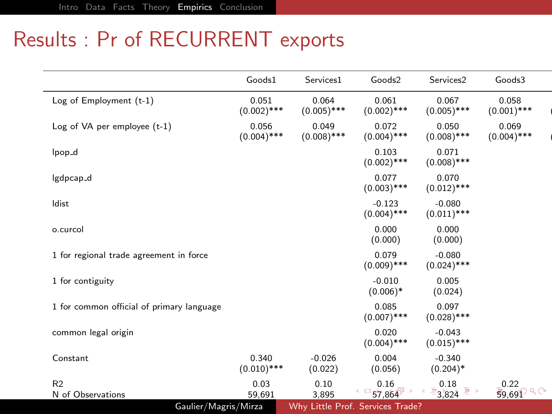## Results : Pr of RECURRENT exports

|                                           | Goods1                 | Services1              | Goods2                    | Services2                 | Goods3                 |
|-------------------------------------------|------------------------|------------------------|---------------------------|---------------------------|------------------------|
| Log of Employment (t-1)                   | 0.051<br>$(0.002)$ *** | 0.064<br>$(0.005)$ *** | 0.061<br>$(0.002)$ ***    | 0.067<br>$(0.005)$ ***    | 0.058<br>$(0.001)$ *** |
| Log of VA per employee (t-1)              | 0.056<br>$(0.004)$ *** | 0.049<br>$(0.008)$ *** | 0.072<br>$(0.004)$ ***    | 0.050<br>$(0.008)$ ***    | 0.069<br>$(0.004)$ *** |
| lpop <sub>-d</sub>                        |                        |                        | 0.103<br>$(0.002)$ ***    | 0.071<br>$(0.008)$ ***    |                        |
| lgdpcap_d                                 |                        |                        | 0.077<br>$(0.003)$ ***    | 0.070<br>$(0.012)$ ***    |                        |
| Idist                                     |                        |                        | $-0.123$<br>$(0.004)$ *** | $-0.080$<br>$(0.011)$ *** |                        |
| o.curcol                                  |                        |                        | 0.000<br>(0.000)          | 0.000<br>(0.000)          |                        |
| 1 for regional trade agreement in force   |                        |                        | 0.079<br>$(0.009)$ ***    | $-0.080$<br>$(0.024)$ *** |                        |
| 1 for contiguity                          |                        |                        | $-0.010$<br>$(0.006)*$    | 0.005<br>(0.024)          |                        |
| 1 for common official of primary language |                        |                        | 0.085<br>$(0.007)$ ***    | 0.097<br>$(0.028)$ ***    |                        |
| common legal origin                       |                        |                        | 0.020<br>$(0.004)$ ***    | $-0.043$<br>$(0.015)$ *** |                        |
| Constant                                  | 0.340<br>$(0.010)$ *** | $-0.026$<br>(0.022)    | 0.004<br>(0.056)          | $-0.340$<br>$(0.204)$ *   |                        |
| R <sub>2</sub>                            | 0.03                   | 0.10                   | 0.16                      | 0.18                      | 0.22                   |
| N of Observations                         | 59,691                 | 3,895                  | $-57,864$                 | 3,824                     | 59,691 <sup>QQ</sup>   |

<span id="page-16-0"></span> $\mathbf{r}$  ,  $\mathbf{r}$  by  $\mathbf{r}$  is presented by  $\mathbf{r}$  ,  $\mathbf{r}$  is presented by  $\mathbf{r}$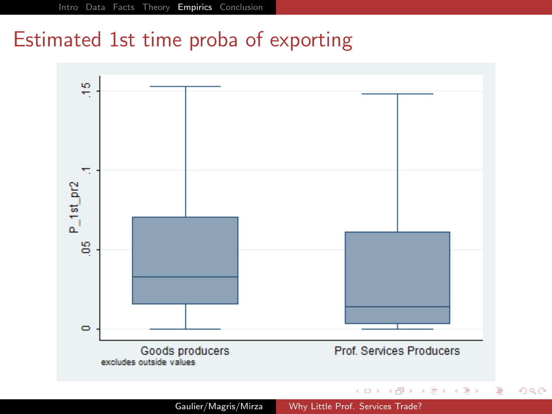## Estimated 1st time proba of exporting

<span id="page-17-0"></span>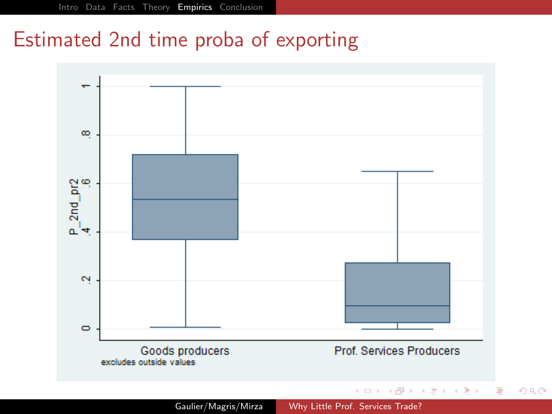### Estimated 2nd time proba of exporting



Gaulier/Magris/Mirza [Why Little Prof. Services Trade?](#page-0-0)

つくへ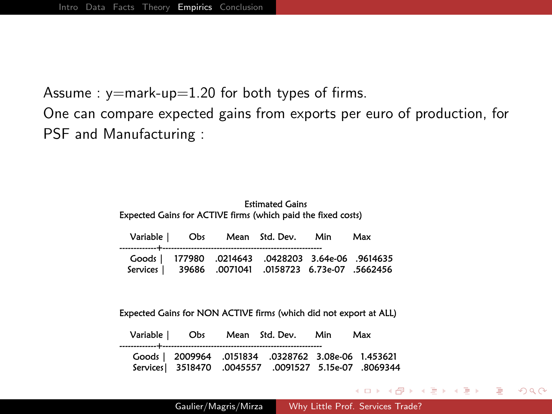Assume :  $y=$ mark-up=1.20 for both types of firms.

One can compare expected gains from exports per euro of production, for PSF and Manufacturing :

| <b>Estimated Gains</b><br>Expected Gains for ACTIVE firms (which paid the fixed costs) |                 |                      |                                                              |     |     |  |  |  |
|----------------------------------------------------------------------------------------|-----------------|----------------------|--------------------------------------------------------------|-----|-----|--|--|--|
| Variable                                                                               | Obs             |                      | Mean Std. Dev.                                               | Min | Max |  |  |  |
| Goods  <br>Services                                                                    | 177980<br>39686 | .0214643<br>.0071041 | 9614635. 0428203 3.64e-06.<br>.0158723   6.73e-07   .5662456 |     |     |  |  |  |

Expected Gains for NON ACTIVE firms (which did not export at ALL)

|  | Variable   Obs Mean Std. Dev. Min                                                                  | Max |
|--|----------------------------------------------------------------------------------------------------|-----|
|  | Goods   2009964 .0151834 .0328762 3.08e-06 1.453621<br>8069344. 0091527 5.15e-07 0069344. Services |     |

化重新 化重新分

 $299$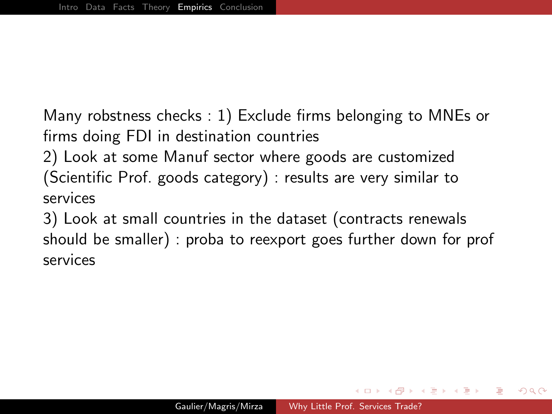Many robstness checks : 1) Exclude firms belonging to MNEs or firms doing FDI in destination countries

2) Look at some Manuf sector where goods are customized (Scientific Prof. goods category) : results are very similar to services

<span id="page-20-0"></span>3) Look at small countries in the dataset (contracts renewals should be smaller) : proba to reexport goes further down for prof services